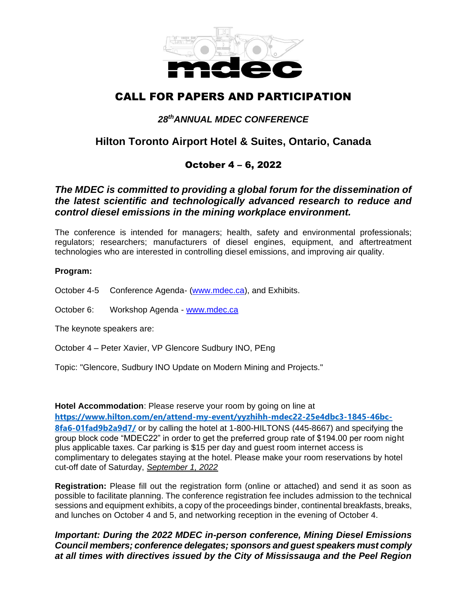

# CALL FOR PAPERS AND PARTICIPATION

## *28 thANNUAL MDEC CONFERENCE*

## **Hilton Toronto Airport Hotel & Suites, Ontario, Canada**

### October 4 – 6, 2022

#### *The MDEC is committed to providing a global forum for the dissemination of the latest scientific and technologically advanced research to reduce and control diesel emissions in the mining workplace environment.*

The conference is intended for managers; health, safety and environmental professionals; regulators; researchers; manufacturers of diesel engines, equipment, and aftertreatment technologies who are interested in controlling diesel emissions, and improving air quality.

#### **Program:**

October 4-5 Conference Agenda- [\(www.mdec.ca\)](http://www.mdec.ca/), and Exhibits.

October 6: Workshop Agenda - [www.mdec.ca](http://www.mdec.ca/)

The keynote speakers are:

October 4 – Peter Xavier, VP Glencore Sudbury INO, PEng

Topic: "Glencore, Sudbury INO Update on Modern Mining and Projects."

**Hotel Accommodation**: Please reserve your room by going on line at **[https://www.hilton.com/en/attend-my-event/yyzhihh-mdec22-25e4dbc3-1845-46bc-](https://can01.safelinks.protection.outlook.com/?url=https%3A%2F%2Fwww.hilton.com%2Fen%2Fattend-my-event%2Fyyzhihh-mdec22-25e4dbc3-1845-46bc-8fa6-01fad9b2a9d7%2F&data=05%7C01%7Cdavid-a.young%40NRCan-RNCan.gc.ca%7C767b8d4668bb490f603408da343d56b2%7C05c95b3390ca49d5b644288b930b912b%7C0%7C0%7C637879735296220147%7CUnknown%7CTWFpbGZsb3d8eyJWIjoiMC4wLjAwMDAiLCJQIjoiV2luMzIiLCJBTiI6Ik1haWwiLCJXVCI6Mn0%3D%7C3000%7C%7C%7C&sdata=11IfD3a%2FHTOISeE8XqiQP1faAE6vr2CfJuYPG23JVng%3D&reserved=0)[8fa6-01fad9b2a9d7/](https://can01.safelinks.protection.outlook.com/?url=https%3A%2F%2Fwww.hilton.com%2Fen%2Fattend-my-event%2Fyyzhihh-mdec22-25e4dbc3-1845-46bc-8fa6-01fad9b2a9d7%2F&data=05%7C01%7Cdavid-a.young%40NRCan-RNCan.gc.ca%7C767b8d4668bb490f603408da343d56b2%7C05c95b3390ca49d5b644288b930b912b%7C0%7C0%7C637879735296220147%7CUnknown%7CTWFpbGZsb3d8eyJWIjoiMC4wLjAwMDAiLCJQIjoiV2luMzIiLCJBTiI6Ik1haWwiLCJXVCI6Mn0%3D%7C3000%7C%7C%7C&sdata=11IfD3a%2FHTOISeE8XqiQP1faAE6vr2CfJuYPG23JVng%3D&reserved=0)** or by calling the hotel at 1-800-HILTONS (445-8667) and specifying the group block code "MDEC22" in order to get the preferred group rate of \$194.00 per room night plus applicable taxes. Car parking is \$15 per day and guest room internet access is complimentary to delegates staying at the hotel. Please make your room reservations by hotel cut-off date of Saturday, *September 1, 2022*

**Registration:** Please fill out the registration form (online or attached) and send it as soon as possible to facilitate planning. The conference registration fee includes admission to the technical sessions and equipment exhibits, a copy of the proceedings binder, continental breakfasts, breaks, and lunches on October 4 and 5, and networking reception in the evening of October 4.

*Important: During the 2022 MDEC in-person conference, Mining Diesel Emissions Council members; conference delegates; sponsors and guest speakers must comply at all times with directives issued by the City of Mississauga and the Peel Region*